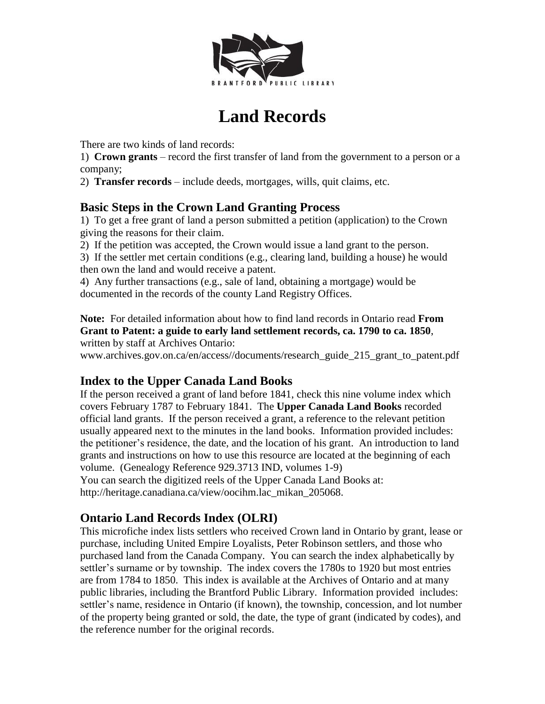

# **Land Records**

There are two kinds of land records:

1) **Crown grants** – record the first transfer of land from the government to a person or a company;

2) **Transfer records** – include deeds, mortgages, wills, quit claims, etc.

# **Basic Steps in the Crown Land Granting Process**

1) To get a free grant of land a person submitted a petition (application) to the Crown giving the reasons for their claim.

2) If the petition was accepted, the Crown would issue a land grant to the person.

3) If the settler met certain conditions (e.g., clearing land, building a house) he would then own the land and would receive a patent.

4) Any further transactions (e.g., sale of land, obtaining a mortgage) would be documented in the records of the county Land Registry Offices.

**Note:** For detailed information about how to find land records in Ontario read **From Grant to Patent: a guide to early land settlement records, ca. 1790 to ca. 1850**, written by staff at Archives Ontario:

www.archives.gov.on.ca/en/access//documents/research\_guide\_215\_grant\_to\_patent.pdf

# **Index to the Upper Canada Land Books**

If the person received a grant of land before 1841, check this nine volume index which covers February 1787 to February 1841. The **Upper Canada Land Books** recorded official land grants. If the person received a grant, a reference to the relevant petition usually appeared next to the minutes in the land books. Information provided includes: the petitioner's residence, the date, and the location of his grant. An introduction to land grants and instructions on how to use this resource are located at the beginning of each volume. (Genealogy Reference 929.3713 IND, volumes 1-9) You can search the digitized reels of the Upper Canada Land Books at:

http://heritage.canadiana.ca/view/oocihm.lac\_mikan\_205068.

# **Ontario Land Records Index (OLRI)**

This microfiche index lists settlers who received Crown land in Ontario by grant, lease or purchase, including United Empire Loyalists, Peter Robinson settlers, and those who purchased land from the Canada Company. You can search the index alphabetically by settler's surname or by township. The index covers the 1780s to 1920 but most entries are from 1784 to 1850. This index is available at the Archives of Ontario and at many public libraries, including the Brantford Public Library. Information provided includes: settler's name, residence in Ontario (if known), the township, concession, and lot number of the property being granted or sold, the date, the type of grant (indicated by codes), and the reference number for the original records.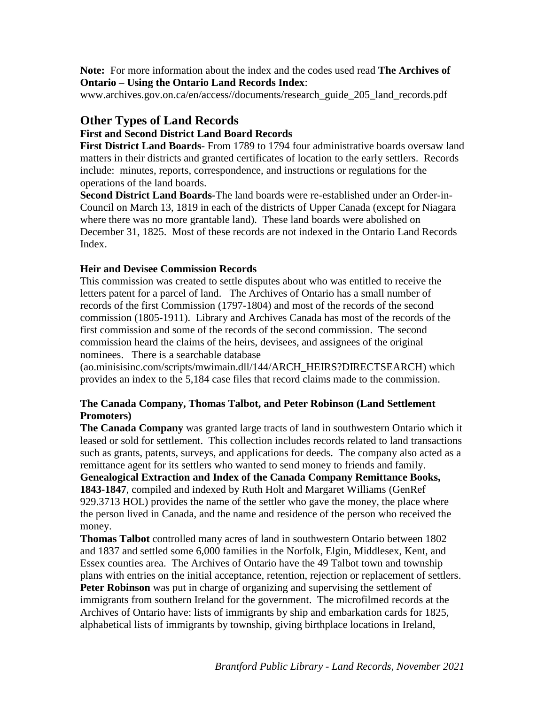**Note:** For more information about the index and the codes used read **The Archives of Ontario – Using the Ontario Land Records Index**:

www.archives.gov.on.ca/en/access//documents/research\_guide\_205\_land\_records.pdf

# **Other Types of Land Records**

# **First and Second District Land Board Records**

**First District Land Boards**- From 1789 to 1794 four administrative boards oversaw land matters in their districts and granted certificates of location to the early settlers. Records include: minutes, reports, correspondence, and instructions or regulations for the operations of the land boards.

**Second District Land Boards-**The land boards were re-established under an Order-in-Council on March 13, 1819 in each of the districts of Upper Canada (except for Niagara where there was no more grantable land). These land boards were abolished on December 31, 1825. Most of these records are not indexed in the Ontario Land Records Index.

# **Heir and Devisee Commission Records**

This commission was created to settle disputes about who was entitled to receive the letters patent for a parcel of land. The Archives of Ontario has a small number of records of the first Commission (1797-1804) and most of the records of the second commission (1805-1911). Library and Archives Canada has most of the records of the first commission and some of the records of the second commission. The second commission heard the claims of the heirs, devisees, and assignees of the original nominees. There is a searchable database

(ao.minisisinc.com/scripts/mwimain.dll/144/ARCH\_HEIRS?DIRECTSEARCH) which provides an index to the 5,184 case files that record claims made to the commission.

# **The Canada Company, Thomas Talbot, and Peter Robinson (Land Settlement Promoters)**

**The Canada Company** was granted large tracts of land in southwestern Ontario which it leased or sold for settlement. This collection includes records related to land transactions such as grants, patents, surveys, and applications for deeds. The company also acted as a remittance agent for its settlers who wanted to send money to friends and family.

**Genealogical Extraction and Index of the Canada Company Remittance Books,** 

**1843-1847**, compiled and indexed by Ruth Holt and Margaret Williams (GenRef 929.3713 HOL) provides the name of the settler who gave the money, the place where the person lived in Canada, and the name and residence of the person who received the money.

**Thomas Talbot** controlled many acres of land in southwestern Ontario between 1802 and 1837 and settled some 6,000 families in the Norfolk, Elgin, Middlesex, Kent, and Essex counties area. The Archives of Ontario have the 49 Talbot town and township plans with entries on the initial acceptance, retention, rejection or replacement of settlers. **Peter Robinson** was put in charge of organizing and supervising the settlement of immigrants from southern Ireland for the government. The microfilmed records at the Archives of Ontario have: lists of immigrants by ship and embarkation cards for 1825, alphabetical lists of immigrants by township, giving birthplace locations in Ireland,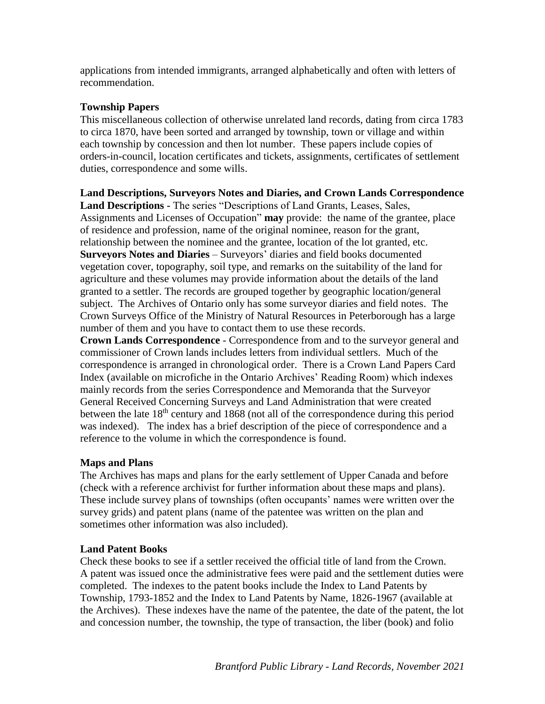applications from intended immigrants, arranged alphabetically and often with letters of recommendation.

# **Township Papers**

This miscellaneous collection of otherwise unrelated land records, dating from circa 1783 to circa 1870, have been sorted and arranged by township, town or village and within each township by concession and then lot number. These papers include copies of orders-in-council, location certificates and tickets, assignments, certificates of settlement duties, correspondence and some wills.

**Land Descriptions, Surveyors Notes and Diaries, and Crown Lands Correspondence Land Descriptions -** The series "Descriptions of Land Grants, Leases, Sales, Assignments and Licenses of Occupation" **may** provide: the name of the grantee, place of residence and profession, name of the original nominee, reason for the grant, relationship between the nominee and the grantee, location of the lot granted, etc. **Surveyors Notes and Diaries** – Surveyors' diaries and field books documented vegetation cover, topography, soil type, and remarks on the suitability of the land for agriculture and these volumes may provide information about the details of the land granted to a settler. The records are grouped together by geographic location/general subject. The Archives of Ontario only has some surveyor diaries and field notes. The Crown Surveys Office of the Ministry of Natural Resources in Peterborough has a large number of them and you have to contact them to use these records.

**Crown Lands Correspondence** - Correspondence from and to the surveyor general and commissioner of Crown lands includes letters from individual settlers. Much of the correspondence is arranged in chronological order. There is a Crown Land Papers Card Index (available on microfiche in the Ontario Archives' Reading Room) which indexes mainly records from the series Correspondence and Memoranda that the Surveyor General Received Concerning Surveys and Land Administration that were created between the late 18<sup>th</sup> century and 1868 (not all of the correspondence during this period was indexed). The index has a brief description of the piece of correspondence and a reference to the volume in which the correspondence is found.

# **Maps and Plans**

The Archives has maps and plans for the early settlement of Upper Canada and before (check with a reference archivist for further information about these maps and plans). These include survey plans of townships (often occupants' names were written over the survey grids) and patent plans (name of the patentee was written on the plan and sometimes other information was also included).

# **Land Patent Books**

Check these books to see if a settler received the official title of land from the Crown. A patent was issued once the administrative fees were paid and the settlement duties were completed. The indexes to the patent books include the Index to Land Patents by Township, 1793-1852 and the Index to Land Patents by Name, 1826-1967 (available at the Archives). These indexes have the name of the patentee, the date of the patent, the lot and concession number, the township, the type of transaction, the liber (book) and folio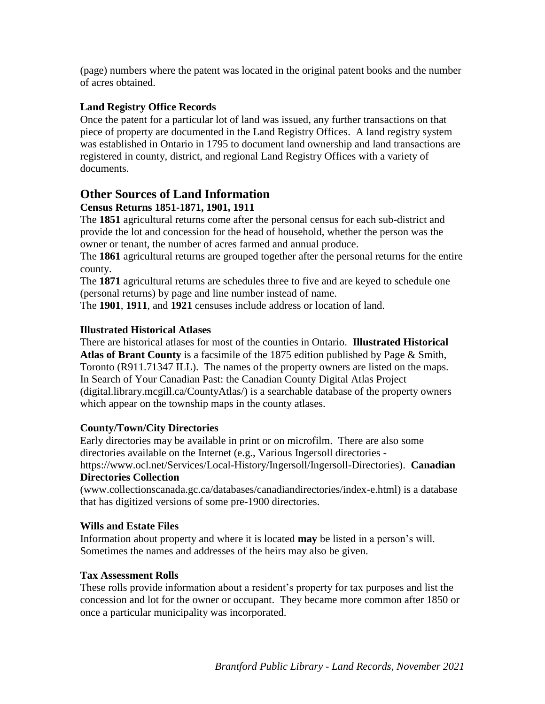(page) numbers where the patent was located in the original patent books and the number of acres obtained.

# **Land Registry Office Records**

Once the patent for a particular lot of land was issued, any further transactions on that piece of property are documented in the Land Registry Offices. A land registry system was established in Ontario in 1795 to document land ownership and land transactions are registered in county, district, and regional Land Registry Offices with a variety of documents.

# **Other Sources of Land Information Census Returns 1851-1871, 1901, 1911**

The **1851** agricultural returns come after the personal census for each sub-district and provide the lot and concession for the head of household, whether the person was the owner or tenant, the number of acres farmed and annual produce.

The **1861** agricultural returns are grouped together after the personal returns for the entire county.

The **1871** agricultural returns are schedules three to five and are keyed to schedule one (personal returns) by page and line number instead of name.

The **1901**, **1911**, and **1921** censuses include address or location of land.

# **Illustrated Historical Atlases**

There are historical atlases for most of the counties in Ontario. **Illustrated Historical Atlas of Brant County** is a facsimile of the 1875 edition published by Page & Smith, Toronto (R911.71347 ILL). The names of the property owners are listed on the maps. In Search of Your Canadian Past: the Canadian County Digital Atlas Project (digital.library.mcgill.ca/CountyAtlas/) is a searchable database of the property owners which appear on the township maps in the county atlases.

# **County/Town/City Directories**

Early directories may be available in print or on microfilm. There are also some directories available on the Internet (e.g., Various Ingersoll directories https://www.ocl.net/Services/Local-History/Ingersoll/Ingersoll-Directories). **Canadian Directories Collection**

(www.collectionscanada.gc.ca/databases/canadiandirectories/index-e.html) is a database that has digitized versions of some pre-1900 directories.

# **Wills and Estate Files**

Information about property and where it is located **may** be listed in a person's will. Sometimes the names and addresses of the heirs may also be given.

# **Tax Assessment Rolls**

These rolls provide information about a resident's property for tax purposes and list the concession and lot for the owner or occupant. They became more common after 1850 or once a particular municipality was incorporated.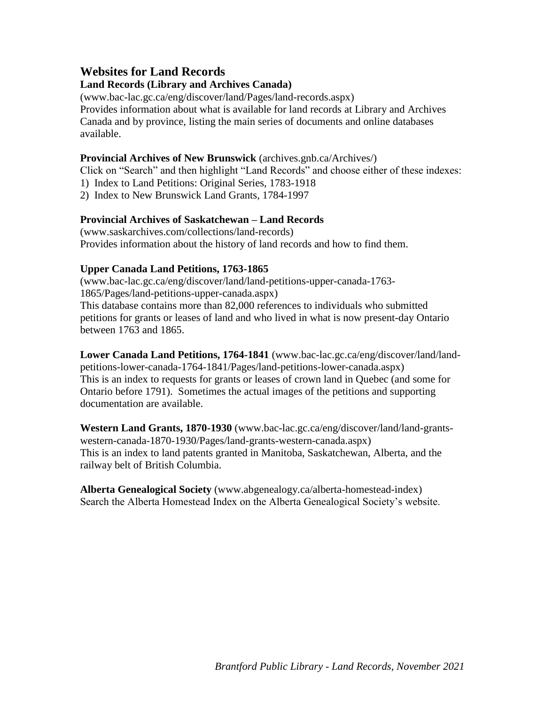# **Websites for Land Records**

# **Land Records (Library and Archives Canada)**

(www.bac-lac.gc.ca/eng/discover/land/Pages/land-records.aspx) Provides information about what is available for land records at Library and Archives Canada and by province, listing the main series of documents and online databases available.

#### **Provincial Archives of New Brunswick** (archives.gnb.ca/Archives/)

Click on "Search" and then highlight "Land Records" and choose either of these indexes:

- 1) Index to Land Petitions: Original Series, 1783-1918
- 2) Index to New Brunswick Land Grants, 1784-1997

#### **Provincial Archives of Saskatchewan – Land Records**

(www.saskarchives.com/collections/land-records) Provides information about the history of land records and how to find them.

#### **Upper Canada Land Petitions, 1763-1865**

(www.bac-lac.gc.ca/eng/discover/land/land-petitions-upper-canada-1763- 1865/Pages/land-petitions-upper-canada.aspx) This database contains more than 82,000 references to individuals who submitted petitions for grants or leases of land and who lived in what is now present-day Ontario between 1763 and 1865.

**Lower Canada Land Petitions, 1764-1841** (www.bac-lac.gc.ca/eng/discover/land/landpetitions-lower-canada-1764-1841/Pages/land-petitions-lower-canada.aspx) This is an index to requests for grants or leases of crown land in Quebec (and some for Ontario before 1791). Sometimes the actual images of the petitions and supporting documentation are available.

**Western Land Grants, 1870-1930** (www.bac-lac.gc.ca/eng/discover/land/land-grantswestern-canada-1870-1930/Pages/land-grants-western-canada.aspx) This is an index to land patents granted in Manitoba, Saskatchewan, Alberta, and the railway belt of British Columbia.

**Alberta Genealogical Society** (www.abgenealogy.ca/alberta-homestead-index) Search the Alberta Homestead Index on the Alberta Genealogical Society's website.